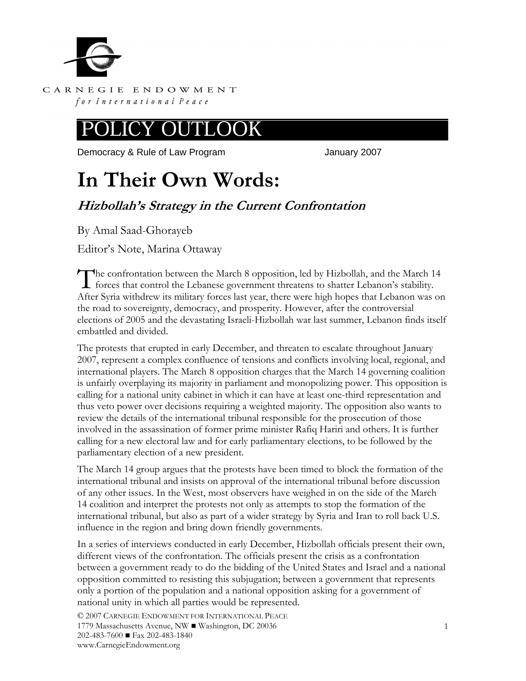

CARNEGIE ENDOWMENT for International Peace

#### .OOK OUTI

Democracy & Rule of Law Program **Fig. 10.13.13.13.13.13.13.14.13.14.13.14.13.14.14.14.14.14.14.14.14.14.14.14.1** 

# **In Their Own Words:**

## **Hizbollah's Strategy in the Current Confrontation**

By Amal Saad-Ghorayeb

Editor's Note, Marina Ottaway

he confrontation between the March 8 opposition, led by Hizbollah, and the March 14 The confrontation between the March 8 opposition, led by Hizbollah, and the March 1 forces that control the Lebanese government threatens to shatter Lebanon's stability. After Syria withdrew its military forces last year, there were high hopes that Lebanon was on the road to sovereignty, democracy, and prosperity. However, after the controversial elections of 2005 and the devastating Israeli-Hizbollah war last summer, Lebanon finds itself embattled and divided.

The protests that erupted in early December, and threaten to escalate throughout January 2007, represent a complex confluence of tensions and conflicts involving local, regional, and international players. The March 8 opposition charges that the March 14 governing coalition is unfairly overplaying its majority in parliament and monopolizing power. This opposition is calling for a national unity cabinet in which it can have at least one-third representation and thus veto power over decisions requiring a weighted majority. The opposition also wants to review the details of the international tribunal responsible for the prosecution of those involved in the assassination of former prime minister Rafiq Hariri and others. It is further calling for a new electoral law and for early parliamentary elections, to be followed by the parliamentary election of a new president.

The March 14 group argues that the protests have been timed to block the formation of the international tribunal and insists on approval of the international tribunal before discussion of any other issues. In the West, most observers have weighed in on the side of the March 14 coalition and interpret the protests not only as attempts to stop the formation of the international tribunal, but also as part of a wider strategy by Syria and Iran to roll back U.S. influence in the region and bring down friendly governments.

In a series of interviews conducted in early December, Hizbollah officials present their own, different views of the confrontation. The officials present the crisis as a confrontation between a government ready to do the bidding of the United States and Israel and a national opposition committed to resisting this subjugation; between a government that represents only a portion of the population and a national opposition asking for a government of national unity in which all parties would be represented.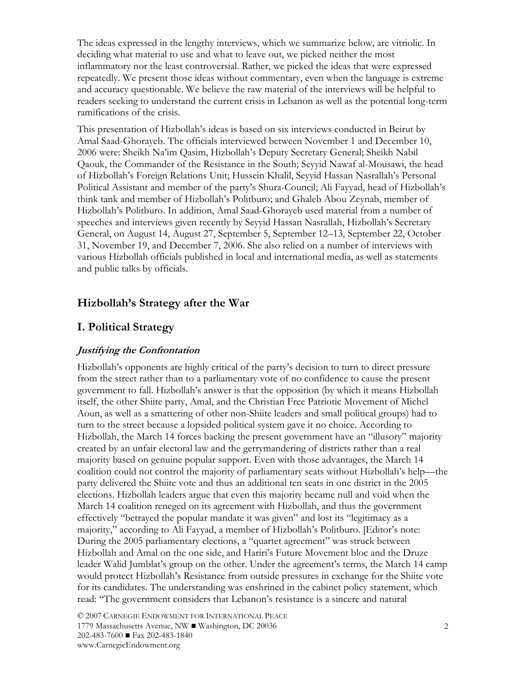The ideas expressed in the lengthy interviews, which we summarize below, are vitriolic. In deciding what material to use and what to leave out, we picked neither the most inflammatory nor the least controversial. Rather, we picked the ideas that were expressed repeatedly. We present those ideas without commentary, even when the language is extreme and accuracy questionable. We believe the raw material of the interviews will be helpful to readers seeking to understand the current crisis in Lebanon as well as the potential long-term ramifications of the crisis.

This presentation of Hizbollah's ideas is based on six interviews conducted in Beirut by Amal Saad-Ghorayeb. The officials interviewed between November 1 and December 10, 2006 were: Sheikh Na'im Qasim, Hizbollah's Deputy Secretary General; Sheikh Nabil Qaouk, the Commander of the Resistance in the South; Seyyid Nawaf al-Mousawi, the head of Hizbollah's Foreign Relations Unit; Hussein Khalil, Seyyid Hassan Nasrallah's Personal Political Assistant and member of the party's Shura-Council; Ali Fayyad, head of Hizbollah's think tank and member of Hizbollah's Politburo; and Ghaleb Abou Zeynab, member of Hizbollah's Politburo. In addition, Amal Saad-Ghorayeb used material from a number of speeches and interviews given recently by Seyyid Hassan Nasrallah, Hizbollah's Secretary General, on August 14, August 27, September 5, September 12–13, September 22, October 31, November 19, and December 7, 2006. She also relied on a number of interviews with various Hizbollah officials published in local and international media, as well as statements and public talks by officials.

#### **Hizbollah's Strategy after the War**

#### **I. Political Strategy**

#### **Justifying the Confrontation**

Hizbollah's opponents are highly critical of the party's decision to turn to direct pressure from the street rather than to a parliamentary vote of no confidence to cause the present government to fall. Hizbollah's answer is that the opposition (by which it means Hizbollah itself, the other Shiite party, Amal, and the Christian Free Patriotic Movement of Michel Aoun, as well as a smattering of other non-Shiite leaders and small political groups) had to turn to the street because a lopsided political system gave it no choice. According to Hizbollah, the March 14 forces backing the present government have an "illusory" majority created by an unfair electoral law and the gerrymandering of districts rather than a real majority based on genuine popular support. Even with those advantages, the March 14 coalition could not control the majority of parliamentary seats without Hizbollah's help—the party delivered the Shiite vote and thus an additional ten seats in one district in the 2005 elections. Hizbollah leaders argue that even this majority became null and void when the March 14 coalition reneged on its agreement with Hizbollah, and thus the government effectively "betrayed the popular mandate it was given" and lost its "legitimacy as a majority," according to Ali Fayyad, a member of Hizbollah's Politburo. [Editor's note: During the 2005 parliamentary elections, a "quartet agreement" was struck between Hizbollah and Amal on the one side, and Hariri's Future Movement bloc and the Druze leader Walid Jumblat's group on the other. Under the agreement's terms, the March 14 camp would protect Hizbollah's Resistance from outside pressures in exchange for the Shiite vote for its candidates. The understanding was enshrined in the cabinet policy statement, which read: "The government considers that Lebanon's resistance is a sincere and natural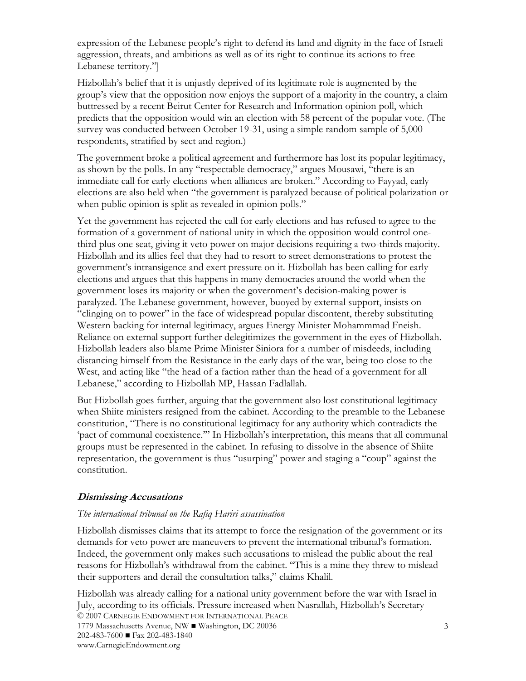expression of the Lebanese people's right to defend its land and dignity in the face of Israeli aggression, threats, and ambitions as well as of its right to continue its actions to free Lebanese territory."]

Hizbollah's belief that it is unjustly deprived of its legitimate role is augmented by the group's view that the opposition now enjoys the support of a majority in the country, a claim buttressed by a recent Beirut Center for Research and Information opinion poll, which predicts that the opposition would win an election with 58 percent of the popular vote. (The survey was conducted between October 19-31, using a simple random sample of 5,000 respondents, stratified by sect and region.)

The government broke a political agreement and furthermore has lost its popular legitimacy, as shown by the polls. In any "respectable democracy," argues Mousawi, "there is an immediate call for early elections when alliances are broken." According to Fayyad, early elections are also held when "the government is paralyzed because of political polarization or when public opinion is split as revealed in opinion polls."

Yet the government has rejected the call for early elections and has refused to agree to the formation of a government of national unity in which the opposition would control onethird plus one seat, giving it veto power on major decisions requiring a two-thirds majority. Hizbollah and its allies feel that they had to resort to street demonstrations to protest the government's intransigence and exert pressure on it. Hizbollah has been calling for early elections and argues that this happens in many democracies around the world when the government loses its majority or when the government's decision-making power is paralyzed. The Lebanese government, however, buoyed by external support, insists on "clinging on to power" in the face of widespread popular discontent, thereby substituting Western backing for internal legitimacy, argues Energy Minister Mohammmad Fneish. Reliance on external support further delegitimizes the government in the eyes of Hizbollah. Hizbollah leaders also blame Prime Minister Siniora for a number of misdeeds, including distancing himself from the Resistance in the early days of the war, being too close to the West, and acting like "the head of a faction rather than the head of a government for all Lebanese," according to Hizbollah MP, Hassan Fadlallah.

But Hizbollah goes further, arguing that the government also lost constitutional legitimacy when Shiite ministers resigned from the cabinet. According to the preamble to the Lebanese constitution, "There is no constitutional legitimacy for any authority which contradicts the 'pact of communal coexistence.'" In Hizbollah's interpretation, this means that all communal groups must be represented in the cabinet. In refusing to dissolve in the absence of Shiite representation, the government is thus "usurping" power and staging a "coup" against the constitution.

#### **Dismissing Accusations**

#### *The international tribunal on the Rafiq Hariri assassination*

Hizbollah dismisses claims that its attempt to force the resignation of the government or its demands for veto power are maneuvers to prevent the international tribunal's formation. Indeed, the government only makes such accusations to mislead the public about the real reasons for Hizbollah's withdrawal from the cabinet. "This is a mine they threw to mislead their supporters and derail the consultation talks," claims Khalil.

© 2007 CARNEGIE ENDOWMENT FOR INTERNATIONAL PEACE 1779 Massachusetts Avenue, NW ■ Washington, DC 20036 202-483-7600 ■ Fax 202-483-1840 www.CarnegieEndowment.org Hizbollah was already calling for a national unity government before the war with Israel in July, according to its officials. Pressure increased when Nasrallah, Hizbollah's Secretary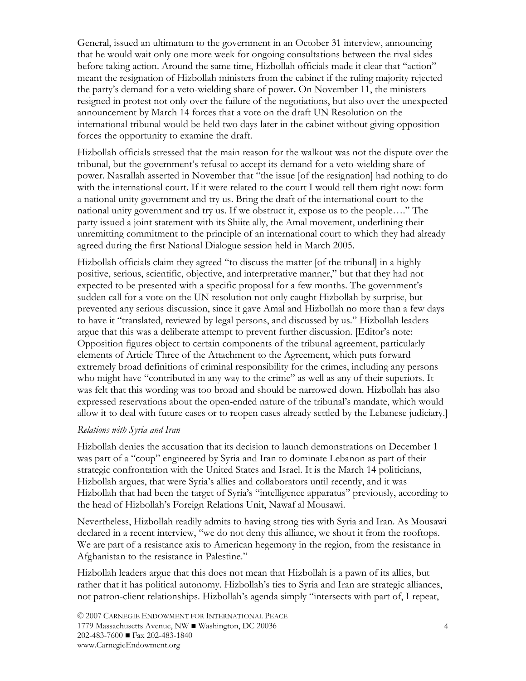General, issued an ultimatum to the government in an October 31 interview, announcing that he would wait only one more week for ongoing consultations between the rival sides before taking action. Around the same time, Hizbollah officials made it clear that "action" meant the resignation of Hizbollah ministers from the cabinet if the ruling majority rejected the party's demand for a veto-wielding share of power**.** On November 11, the ministers resigned in protest not only over the failure of the negotiations, but also over the unexpected announcement by March 14 forces that a vote on the draft UN Resolution on the international tribunal would be held two days later in the cabinet without giving opposition forces the opportunity to examine the draft.

Hizbollah officials stressed that the main reason for the walkout was not the dispute over the tribunal, but the government's refusal to accept its demand for a veto-wielding share of power. Nasrallah asserted in November that "the issue [of the resignation] had nothing to do with the international court. If it were related to the court I would tell them right now: form a national unity government and try us. Bring the draft of the international court to the national unity government and try us. If we obstruct it, expose us to the people…." The party issued a joint statement with its Shiite ally, the Amal movement, underlining their unremitting commitment to the principle of an international court to which they had already agreed during the first National Dialogue session held in March 2005.

Hizbollah officials claim they agreed "to discuss the matter [of the tribunal] in a highly positive, serious, scientific, objective, and interpretative manner," but that they had not expected to be presented with a specific proposal for a few months. The government's sudden call for a vote on the UN resolution not only caught Hizbollah by surprise, but prevented any serious discussion, since it gave Amal and Hizbollah no more than a few days to have it "translated, reviewed by legal persons, and discussed by us." Hizbollah leaders argue that this was a deliberate attempt to prevent further discussion. [Editor's note: Opposition figures object to certain components of the tribunal agreement, particularly elements of Article Three of the Attachment to the Agreement, which puts forward extremely broad definitions of criminal responsibility for the crimes, including any persons who might have "contributed in any way to the crime" as well as any of their superiors. It was felt that this wording was too broad and should be narrowed down. Hizbollah has also expressed reservations about the open-ended nature of the tribunal's mandate, which would allow it to deal with future cases or to reopen cases already settled by the Lebanese judiciary.]

#### *Relations with Syria and Iran*

Hizbollah denies the accusation that its decision to launch demonstrations on December 1 was part of a "coup" engineered by Syria and Iran to dominate Lebanon as part of their strategic confrontation with the United States and Israel. It is the March 14 politicians, Hizbollah argues, that were Syria's allies and collaborators until recently, and it was Hizbollah that had been the target of Syria's "intelligence apparatus" previously, according to the head of Hizbollah's Foreign Relations Unit, Nawaf al Mousawi.

Nevertheless, Hizbollah readily admits to having strong ties with Syria and Iran. As Mousawi declared in a recent interview, "we do not deny this alliance, we shout it from the rooftops. We are part of a resistance axis to American hegemony in the region, from the resistance in Afghanistan to the resistance in Palestine."

Hizbollah leaders argue that this does not mean that Hizbollah is a pawn of its allies, but rather that it has political autonomy. Hizbollah's ties to Syria and Iran are strategic alliances, not patron-client relationships. Hizbollah's agenda simply "intersects with part of, I repeat,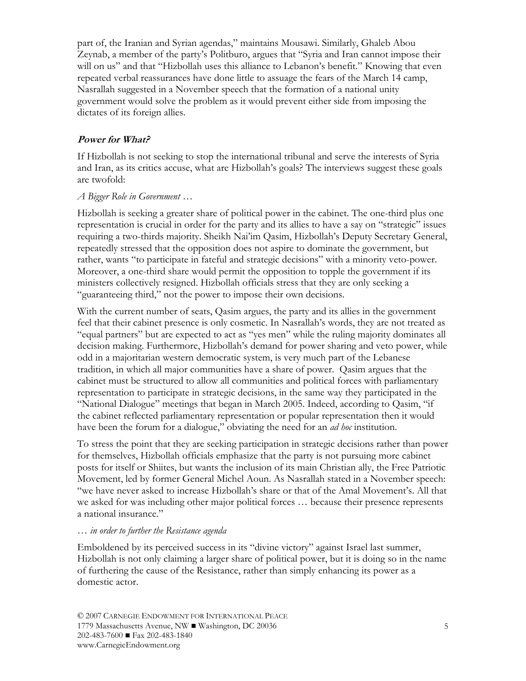part of, the Iranian and Syrian agendas," maintains Mousawi. Similarly, Ghaleb Abou Zeynab, a member of the party's Politburo, argues that "Syria and Iran cannot impose their will on us" and that "Hizbollah uses this alliance to Lebanon's benefit." Knowing that even repeated verbal reassurances have done little to assuage the fears of the March 14 camp, Nasrallah suggested in a November speech that the formation of a national unity government would solve the problem as it would prevent either side from imposing the dictates of its foreign allies.

#### **Power for What?**

If Hizbollah is not seeking to stop the international tribunal and serve the interests of Syria and Iran, as its critics accuse, what are Hizbollah's goals? The interviews suggest these goals are twofold:

#### *A Bigger Role in Government …*

Hizbollah is seeking a greater share of political power in the cabinet. The one-third plus one representation is crucial in order for the party and its allies to have a say on "strategic" issues requiring a two-thirds majority. Sheikh Nai'im Qasim, Hizbollah's Deputy Secretary General, repeatedly stressed that the opposition does not aspire to dominate the government, but rather, wants "to participate in fateful and strategic decisions" with a minority veto-power. Moreover, a one-third share would permit the opposition to topple the government if its ministers collectively resigned. Hizbollah officials stress that they are only seeking a "guaranteeing third," not the power to impose their own decisions.

With the current number of seats, Qasim argues, the party and its allies in the government feel that their cabinet presence is only cosmetic. In Nasrallah's words, they are not treated as "equal partners" but are expected to act as "yes men" while the ruling majority dominates all decision making. Furthermore, Hizbollah's demand for power sharing and veto power, while odd in a majoritarian western democratic system, is very much part of the Lebanese tradition, in which all major communities have a share of power. Qasim argues that the cabinet must be structured to allow all communities and political forces with parliamentary representation to participate in strategic decisions, in the same way they participated in the "National Dialogue" meetings that began in March 2005. Indeed, according to Qasim, "if the cabinet reflected parliamentary representation or popular representation then it would have been the forum for a dialogue," obviating the need for an *ad hoc* institution.

To stress the point that they are seeking participation in strategic decisions rather than power for themselves, Hizbollah officials emphasize that the party is not pursuing more cabinet posts for itself or Shiites, but wants the inclusion of its main Christian ally, the Free Patriotic Movement, led by former General Michel Aoun. As Nasrallah stated in a November speech: "we have never asked to increase Hizbollah's share or that of the Amal Movement's. All that we asked for was including other major political forces … because their presence represents a national insurance."

#### *… in order to further the Resistance agenda*

Emboldened by its perceived success in its "divine victory" against Israel last summer, Hizbollah is not only claiming a larger share of political power, but it is doing so in the name of furthering the cause of the Resistance, rather than simply enhancing its power as a domestic actor.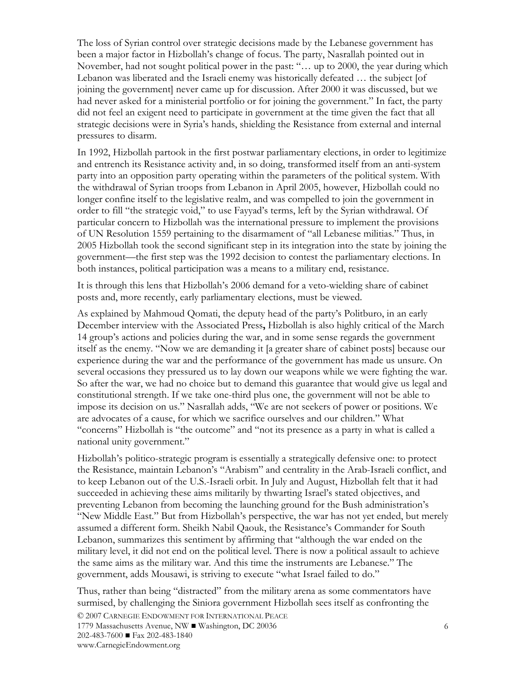The loss of Syrian control over strategic decisions made by the Lebanese government has been a major factor in Hizbollah's change of focus. The party, Nasrallah pointed out in November, had not sought political power in the past: "… up to 2000, the year during which Lebanon was liberated and the Israeli enemy was historically defeated ... the subject [of joining the government] never came up for discussion. After 2000 it was discussed, but we had never asked for a ministerial portfolio or for joining the government." In fact, the party did not feel an exigent need to participate in government at the time given the fact that all strategic decisions were in Syria's hands, shielding the Resistance from external and internal pressures to disarm.

In 1992, Hizbollah partook in the first postwar parliamentary elections, in order to legitimize and entrench its Resistance activity and, in so doing, transformed itself from an anti-system party into an opposition party operating within the parameters of the political system. With the withdrawal of Syrian troops from Lebanon in April 2005, however, Hizbollah could no longer confine itself to the legislative realm, and was compelled to join the government in order to fill "the strategic void," to use Fayyad's terms, left by the Syrian withdrawal. Of particular concern to Hizbollah was the international pressure to implement the provisions of UN Resolution 1559 pertaining to the disarmament of "all Lebanese militias." Thus, in 2005 Hizbollah took the second significant step in its integration into the state by joining the government—the first step was the 1992 decision to contest the parliamentary elections. In both instances, political participation was a means to a military end, resistance.

It is through this lens that Hizbollah's 2006 demand for a veto-wielding share of cabinet posts and, more recently, early parliamentary elections, must be viewed.

As explained by Mahmoud Qomati, the deputy head of the party's Politburo, in an early December interview with the Associated Press**,** Hizbollah is also highly critical of the March 14 group's actions and policies during the war, and in some sense regards the government itself as the enemy. "Now we are demanding it [a greater share of cabinet posts] because our experience during the war and the performance of the government has made us unsure. On several occasions they pressured us to lay down our weapons while we were fighting the war. So after the war, we had no choice but to demand this guarantee that would give us legal and constitutional strength. If we take one-third plus one, the government will not be able to impose its decision on us." Nasrallah adds, "We are not seekers of power or positions. We are advocates of a cause, for which we sacrifice ourselves and our children." What "concerns" Hizbollah is "the outcome" and "not its presence as a party in what is called a national unity government."

Hizbollah's politico-strategic program is essentially a strategically defensive one: to protect the Resistance, maintain Lebanon's "Arabism" and centrality in the Arab-Israeli conflict, and to keep Lebanon out of the U.S.-Israeli orbit. In July and August, Hizbollah felt that it had succeeded in achieving these aims militarily by thwarting Israel's stated objectives, and preventing Lebanon from becoming the launching ground for the Bush administration's "New Middle East." But from Hizbollah's perspective, the war has not yet ended, but merely assumed a different form. Sheikh Nabil Qaouk, the Resistance's Commander for South Lebanon, summarizes this sentiment by affirming that "although the war ended on the military level, it did not end on the political level. There is now a political assault to achieve the same aims as the military war. And this time the instruments are Lebanese." The government, adds Mousawi, is striving to execute "what Israel failed to do."

Thus, rather than being "distracted" from the military arena as some commentators have surmised, by challenging the Siniora government Hizbollah sees itself as confronting the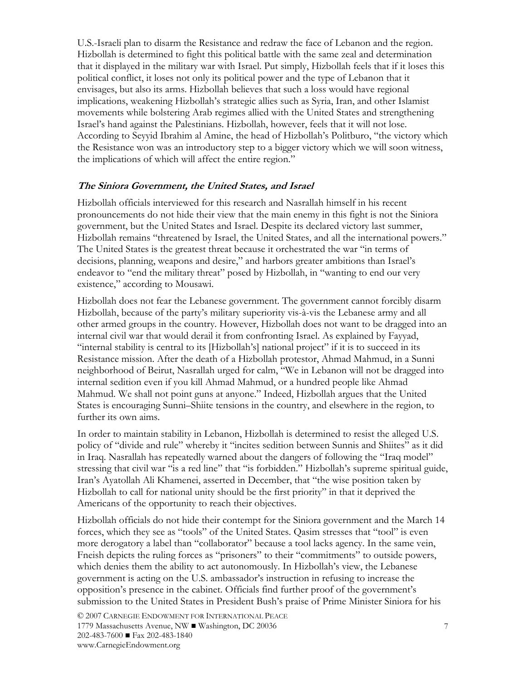U.S.-Israeli plan to disarm the Resistance and redraw the face of Lebanon and the region. Hizbollah is determined to fight this political battle with the same zeal and determination that it displayed in the military war with Israel. Put simply, Hizbollah feels that if it loses this political conflict, it loses not only its political power and the type of Lebanon that it envisages, but also its arms. Hizbollah believes that such a loss would have regional implications, weakening Hizbollah's strategic allies such as Syria, Iran, and other Islamist movements while bolstering Arab regimes allied with the United States and strengthening Israel's hand against the Palestinians. Hizbollah, however, feels that it will not lose. According to Seyyid Ibrahim al Amine, the head of Hizbollah's Politburo, "the victory which the Resistance won was an introductory step to a bigger victory which we will soon witness, the implications of which will affect the entire region."

#### **The Siniora Government, the United States, and Israel**

Hizbollah officials interviewed for this research and Nasrallah himself in his recent pronouncements do not hide their view that the main enemy in this fight is not the Siniora government, but the United States and Israel. Despite its declared victory last summer, Hizbollah remains "threatened by Israel, the United States, and all the international powers." The United States is the greatest threat because it orchestrated the war "in terms of decisions, planning, weapons and desire," and harbors greater ambitions than Israel's endeavor to "end the military threat" posed by Hizbollah, in "wanting to end our very existence," according to Mousawi.

Hizbollah does not fear the Lebanese government. The government cannot forcibly disarm Hizbollah, because of the party's military superiority vis-à-vis the Lebanese army and all other armed groups in the country. However, Hizbollah does not want to be dragged into an internal civil war that would derail it from confronting Israel. As explained by Fayyad, "internal stability is central to its [Hizbollah's] national project" if it is to succeed in its Resistance mission. After the death of a Hizbollah protestor, Ahmad Mahmud, in a Sunni neighborhood of Beirut, Nasrallah urged for calm, "We in Lebanon will not be dragged into internal sedition even if you kill Ahmad Mahmud, or a hundred people like Ahmad Mahmud. We shall not point guns at anyone." Indeed, Hizbollah argues that the United States is encouraging Sunni–Shiite tensions in the country, and elsewhere in the region, to further its own aims.

In order to maintain stability in Lebanon, Hizbollah is determined to resist the alleged U.S. policy of "divide and rule" whereby it "incites sedition between Sunnis and Shiites" as it did in Iraq. Nasrallah has repeatedly warned about the dangers of following the "Iraq model" stressing that civil war "is a red line" that "is forbidden." Hizbollah's supreme spiritual guide, Iran's Ayatollah Ali Khamenei, asserted in December, that "the wise position taken by Hizbollah to call for national unity should be the first priority" in that it deprived the Americans of the opportunity to reach their objectives.

Hizbollah officials do not hide their contempt for the Siniora government and the March 14 forces, which they see as "tools" of the United States. Qasim stresses that "tool" is even more derogatory a label than "collaborator" because a tool lacks agency. In the same vein, Fneish depicts the ruling forces as "prisoners" to their "commitments" to outside powers, which denies them the ability to act autonomously. In Hizbollah's view, the Lebanese government is acting on the U.S. ambassador's instruction in refusing to increase the opposition's presence in the cabinet. Officials find further proof of the government's submission to the United States in President Bush's praise of Prime Minister Siniora for his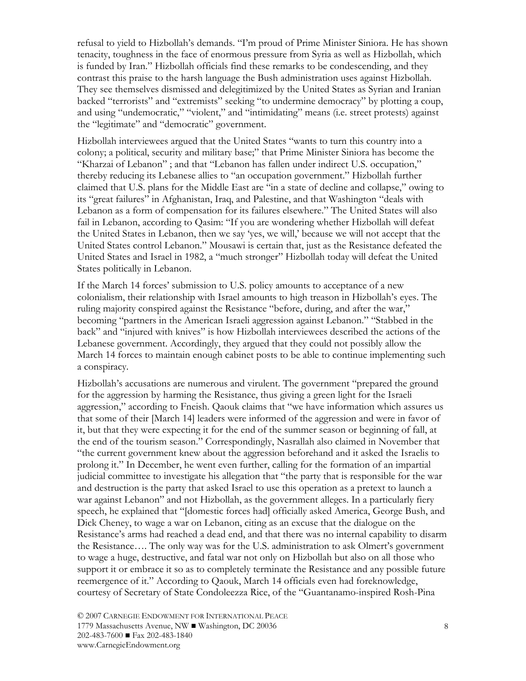refusal to yield to Hizbollah's demands. "I'm proud of Prime Minister Siniora. He has shown tenacity, toughness in the face of enormous pressure from Syria as well as Hizbollah, which is funded by Iran." Hizbollah officials find these remarks to be condescending, and they contrast this praise to the harsh language the Bush administration uses against Hizbollah. They see themselves dismissed and delegitimized by the United States as Syrian and Iranian backed "terrorists" and "extremists" seeking "to undermine democracy" by plotting a coup, and using "undemocratic," "violent," and "intimidating" means (i.e. street protests) against the "legitimate" and "democratic" government.

Hizbollah interviewees argued that the United States "wants to turn this country into a colony; a political, security and military base;" that Prime Minister Siniora has become the "Kharzai of Lebanon" ; and that "Lebanon has fallen under indirect U.S. occupation," thereby reducing its Lebanese allies to "an occupation government." Hizbollah further claimed that U.S. plans for the Middle East are "in a state of decline and collapse," owing to its "great failures" in Afghanistan, Iraq, and Palestine, and that Washington "deals with Lebanon as a form of compensation for its failures elsewhere." The United States will also fail in Lebanon, according to Qasim: "If you are wondering whether Hizbollah will defeat the United States in Lebanon, then we say 'yes, we will,' because we will not accept that the United States control Lebanon." Mousawi is certain that, just as the Resistance defeated the United States and Israel in 1982, a "much stronger" Hizbollah today will defeat the United States politically in Lebanon.

If the March 14 forces' submission to U.S. policy amounts to acceptance of a new colonialism, their relationship with Israel amounts to high treason in Hizbollah's eyes. The ruling majority conspired against the Resistance "before, during, and after the war," becoming "partners in the American Israeli aggression against Lebanon." "Stabbed in the back" and "injured with knives" is how Hizbollah interviewees described the actions of the Lebanese government. Accordingly, they argued that they could not possibly allow the March 14 forces to maintain enough cabinet posts to be able to continue implementing such a conspiracy.

Hizbollah's accusations are numerous and virulent. The government "prepared the ground for the aggression by harming the Resistance, thus giving a green light for the Israeli aggression," according to Fneish. Qaouk claims that "we have information which assures us that some of their [March 14] leaders were informed of the aggression and were in favor of it, but that they were expecting it for the end of the summer season or beginning of fall, at the end of the tourism season." Correspondingly, Nasrallah also claimed in November that "the current government knew about the aggression beforehand and it asked the Israelis to prolong it." In December, he went even further, calling for the formation of an impartial judicial committee to investigate his allegation that "the party that is responsible for the war and destruction is the party that asked Israel to use this operation as a pretext to launch a war against Lebanon" and not Hizbollah, as the government alleges. In a particularly fiery speech, he explained that "[domestic forces had] officially asked America, George Bush, and Dick Cheney, to wage a war on Lebanon, citing as an excuse that the dialogue on the Resistance's arms had reached a dead end, and that there was no internal capability to disarm the Resistance…. The only way was for the U.S. administration to ask Olmert's government to wage a huge, destructive, and fatal war not only on Hizbollah but also on all those who support it or embrace it so as to completely terminate the Resistance and any possible future reemergence of it." According to Qaouk, March 14 officials even had foreknowledge, courtesy of Secretary of State Condoleezza Rice, of the "Guantanamo-inspired Rosh-Pina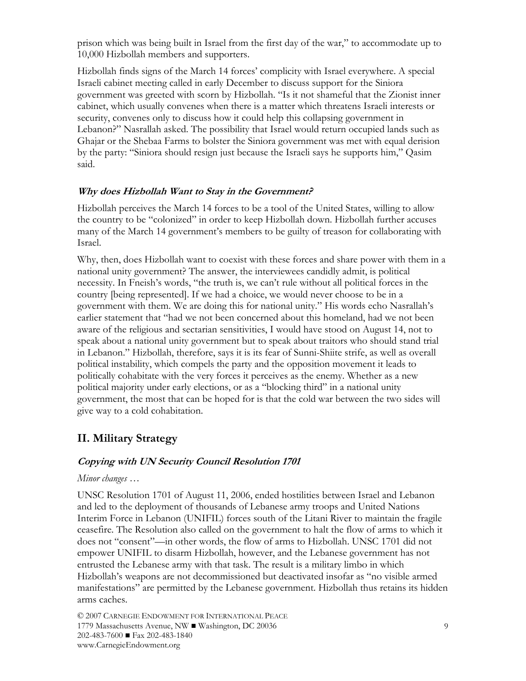prison which was being built in Israel from the first day of the war," to accommodate up to 10,000 Hizbollah members and supporters.

Hizbollah finds signs of the March 14 forces' complicity with Israel everywhere. A special Israeli cabinet meeting called in early December to discuss support for the Siniora government was greeted with scorn by Hizbollah. "Is it not shameful that the Zionist inner cabinet, which usually convenes when there is a matter which threatens Israeli interests or security, convenes only to discuss how it could help this collapsing government in Lebanon?" Nasrallah asked. The possibility that Israel would return occupied lands such as Ghajar or the Shebaa Farms to bolster the Siniora government was met with equal derision by the party: "Siniora should resign just because the Israeli says he supports him," Qasim said.

#### **Why does Hizbollah Want to Stay in the Government?**

Hizbollah perceives the March 14 forces to be a tool of the United States, willing to allow the country to be "colonized" in order to keep Hizbollah down. Hizbollah further accuses many of the March 14 government's members to be guilty of treason for collaborating with Israel.

Why, then, does Hizbollah want to coexist with these forces and share power with them in a national unity government? The answer, the interviewees candidly admit, is political necessity. In Fneish's words, "the truth is, we can't rule without all political forces in the country [being represented]. If we had a choice, we would never choose to be in a government with them. We are doing this for national unity." His words echo Nasrallah's earlier statement that "had we not been concerned about this homeland, had we not been aware of the religious and sectarian sensitivities, I would have stood on August 14, not to speak about a national unity government but to speak about traitors who should stand trial in Lebanon." Hizbollah, therefore, says it is its fear of Sunni-Shiite strife, as well as overall political instability, which compels the party and the opposition movement it leads to politically cohabitate with the very forces it perceives as the enemy. Whether as a new political majority under early elections, or as a "blocking third" in a national unity government, the most that can be hoped for is that the cold war between the two sides will give way to a cold cohabitation.

### **II. Military Strategy**

#### **Copying with UN Security Council Resolution 1701**

#### *Minor changes …*

UNSC Resolution 1701 of August 11, 2006, ended hostilities between Israel and Lebanon and led to the deployment of thousands of Lebanese army troops and United Nations Interim Force in Lebanon (UNIFIL) forces south of the Litani River to maintain the fragile ceasefire. The Resolution also called on the government to halt the flow of arms to which it does not "consent"—in other words, the flow of arms to Hizbollah. UNSC 1701 did not empower UNIFIL to disarm Hizbollah, however, and the Lebanese government has not entrusted the Lebanese army with that task. The result is a military limbo in which Hizbollah's weapons are not decommissioned but deactivated insofar as "no visible armed manifestations" are permitted by the Lebanese government. Hizbollah thus retains its hidden arms caches.

© 2007 CARNEGIE ENDOWMENT FOR INTERNATIONAL PEACE 1779 Massachusetts Avenue, NW ■ Washington, DC 20036 202-483-7600 ■ Fax 202-483-1840 www.CarnegieEndowment.org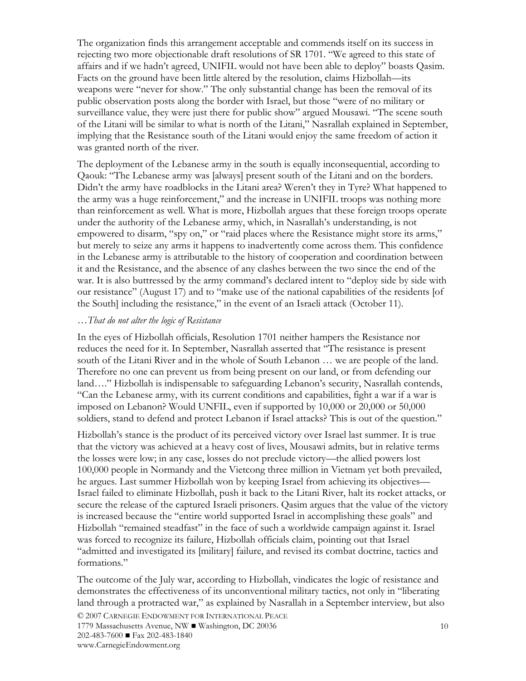The organization finds this arrangement acceptable and commends itself on its success in rejecting two more objectionable draft resolutions of SR 1701. "We agreed to this state of affairs and if we hadn't agreed, UNIFIL would not have been able to deploy" boasts Qasim. Facts on the ground have been little altered by the resolution, claims Hizbollah—its weapons were "never for show." The only substantial change has been the removal of its public observation posts along the border with Israel, but those "were of no military or surveillance value, they were just there for public show" argued Mousawi. "The scene south of the Litani will be similar to what is north of the Litani," Nasrallah explained in September, implying that the Resistance south of the Litani would enjoy the same freedom of action it was granted north of the river.

The deployment of the Lebanese army in the south is equally inconsequential, according to Qaouk: "The Lebanese army was [always] present south of the Litani and on the borders. Didn't the army have roadblocks in the Litani area? Weren't they in Tyre? What happened to the army was a huge reinforcement," and the increase in UNIFIL troops was nothing more than reinforcement as well. What is more, Hizbollah argues that these foreign troops operate under the authority of the Lebanese army, which, in Nasrallah's understanding, is not empowered to disarm, "spy on," or "raid places where the Resistance might store its arms," but merely to seize any arms it happens to inadvertently come across them. This confidence in the Lebanese army is attributable to the history of cooperation and coordination between it and the Resistance, and the absence of any clashes between the two since the end of the war. It is also buttressed by the army command's declared intent to "deploy side by side with our resistance" (August 17) and to "make use of the national capabilities of the residents [of the South] including the resistance," in the event of an Israeli attack (October 11).

#### *…That do not alter the logic of Resistance*

In the eyes of Hizbollah officials, Resolution 1701 neither hampers the Resistance nor reduces the need for it. In September, Nasrallah asserted that "The resistance is present south of the Litani River and in the whole of South Lebanon … we are people of the land. Therefore no one can prevent us from being present on our land, or from defending our land…." Hizbollah is indispensable to safeguarding Lebanon's security, Nasrallah contends, "Can the Lebanese army, with its current conditions and capabilities, fight a war if a war is imposed on Lebanon? Would UNFIL, even if supported by 10,000 or 20,000 or 50,000 soldiers, stand to defend and protect Lebanon if Israel attacks? This is out of the question."

Hizbollah's stance is the product of its perceived victory over Israel last summer. It is true that the victory was achieved at a heavy cost of lives, Mousawi admits, but in relative terms the losses were low; in any case, losses do not preclude victory—the allied powers lost 100,000 people in Normandy and the Vietcong three million in Vietnam yet both prevailed, he argues. Last summer Hizbollah won by keeping Israel from achieving its objectives— Israel failed to eliminate Hizbollah, push it back to the Litani River, halt its rocket attacks, or secure the release of the captured Israeli prisoners. Qasim argues that the value of the victory is increased because the "entire world supported Israel in accomplishing these goals" and Hizbollah "remained steadfast" in the face of such a worldwide campaign against it. Israel was forced to recognize its failure, Hizbollah officials claim, pointing out that Israel "admitted and investigated its [military] failure, and revised its combat doctrine, tactics and formations."

The outcome of the July war, according to Hizbollah, vindicates the logic of resistance and demonstrates the effectiveness of its unconventional military tactics, not only in "liberating land through a protracted war," as explained by Nasrallah in a September interview, but also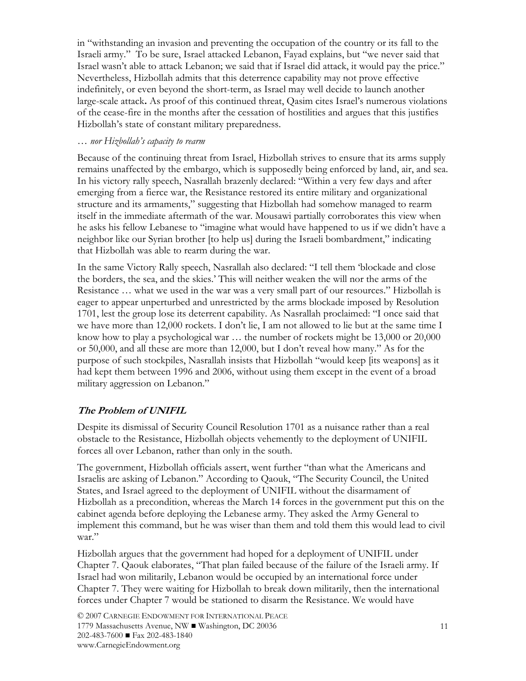in "withstanding an invasion and preventing the occupation of the country or its fall to the Israeli army." To be sure, Israel attacked Lebanon, Fayad explains, but "we never said that Israel wasn't able to attack Lebanon; we said that if Israel did attack, it would pay the price." Nevertheless, Hizbollah admits that this deterrence capability may not prove effective indefinitely, or even beyond the short-term, as Israel may well decide to launch another large-scale attack**.** As proof of this continued threat, Qasim cites Israel's numerous violations of the cease-fire in the months after the cessation of hostilities and argues that this justifies Hizbollah's state of constant military preparedness.

#### *… nor Hizbollah's capacity to rearm*

Because of the continuing threat from Israel, Hizbollah strives to ensure that its arms supply remains unaffected by the embargo, which is supposedly being enforced by land, air, and sea. In his victory rally speech, Nasrallah brazenly declared: "Within a very few days and after emerging from a fierce war, the Resistance restored its entire military and organizational structure and its armaments," suggesting that Hizbollah had somehow managed to rearm itself in the immediate aftermath of the war. Mousawi partially corroborates this view when he asks his fellow Lebanese to "imagine what would have happened to us if we didn't have a neighbor like our Syrian brother [to help us] during the Israeli bombardment," indicating that Hizbollah was able to rearm during the war.

In the same Victory Rally speech, Nasrallah also declared: "I tell them 'blockade and close the borders, the sea, and the skies.' This will neither weaken the will nor the arms of the Resistance … what we used in the war was a very small part of our resources." Hizbollah is eager to appear unperturbed and unrestricted by the arms blockade imposed by Resolution 1701, lest the group lose its deterrent capability. As Nasrallah proclaimed: "I once said that we have more than 12,000 rockets. I don't lie, I am not allowed to lie but at the same time I know how to play a psychological war … the number of rockets might be 13,000 or 20,000 or 50,000, and all these are more than 12,000, but I don't reveal how many." As for the purpose of such stockpiles, Nasrallah insists that Hizbollah "would keep [its weapons] as it had kept them between 1996 and 2006, without using them except in the event of a broad military aggression on Lebanon."

#### **The Problem of UNIFIL**

Despite its dismissal of Security Council Resolution 1701 as a nuisance rather than a real obstacle to the Resistance, Hizbollah objects vehemently to the deployment of UNIFIL forces all over Lebanon, rather than only in the south.

The government, Hizbollah officials assert, went further "than what the Americans and Israelis are asking of Lebanon." According to Qaouk, "The Security Council, the United States, and Israel agreed to the deployment of UNIFIL without the disarmament of Hizbollah as a precondition, whereas the March 14 forces in the government put this on the cabinet agenda before deploying the Lebanese army. They asked the Army General to implement this command, but he was wiser than them and told them this would lead to civil war."

Hizbollah argues that the government had hoped for a deployment of UNIFIL under Chapter 7. Qaouk elaborates, "That plan failed because of the failure of the Israeli army. If Israel had won militarily, Lebanon would be occupied by an international force under Chapter 7. They were waiting for Hizbollah to break down militarily, then the international forces under Chapter 7 would be stationed to disarm the Resistance. We would have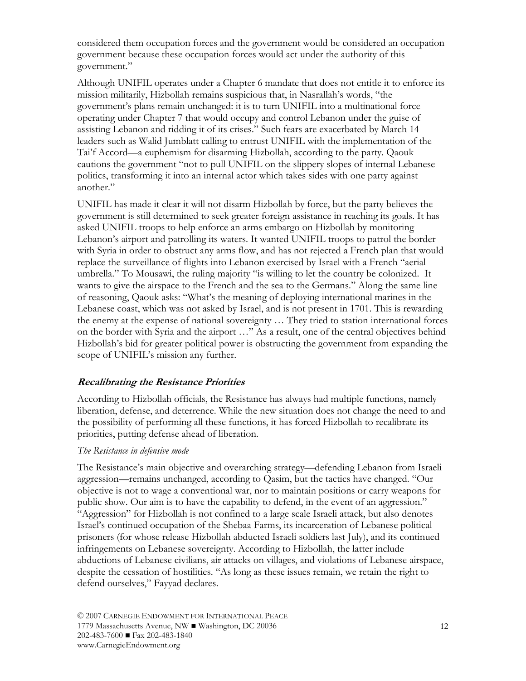considered them occupation forces and the government would be considered an occupation government because these occupation forces would act under the authority of this government."

Although UNIFIL operates under a Chapter 6 mandate that does not entitle it to enforce its mission militarily, Hizbollah remains suspicious that, in Nasrallah's words, "the government's plans remain unchanged: it is to turn UNIFIL into a multinational force operating under Chapter 7 that would occupy and control Lebanon under the guise of assisting Lebanon and ridding it of its crises." Such fears are exacerbated by March 14 leaders such as Walid Jumblatt calling to entrust UNIFIL with the implementation of the Tai'f Accord—a euphemism for disarming Hizbollah, according to the party. Qaouk cautions the government "not to pull UNIFIL on the slippery slopes of internal Lebanese politics, transforming it into an internal actor which takes sides with one party against another."

UNIFIL has made it clear it will not disarm Hizbollah by force, but the party believes the government is still determined to seek greater foreign assistance in reaching its goals. It has asked UNIFIL troops to help enforce an arms embargo on Hizbollah by monitoring Lebanon's airport and patrolling its waters. It wanted UNIFIL troops to patrol the border with Syria in order to obstruct any arms flow, and has not rejected a French plan that would replace the surveillance of flights into Lebanon exercised by Israel with a French "aerial umbrella." To Mousawi, the ruling majority "is willing to let the country be colonized. It wants to give the airspace to the French and the sea to the Germans." Along the same line of reasoning, Qaouk asks: "What's the meaning of deploying international marines in the Lebanese coast, which was not asked by Israel, and is not present in 1701. This is rewarding the enemy at the expense of national sovereignty … They tried to station international forces on the border with Syria and the airport …" As a result, one of the central objectives behind Hizbollah's bid for greater political power is obstructing the government from expanding the scope of UNIFIL's mission any further.

#### **Recalibrating the Resistance Priorities**

According to Hizbollah officials, the Resistance has always had multiple functions, namely liberation, defense, and deterrence. While the new situation does not change the need to and the possibility of performing all these functions, it has forced Hizbollah to recalibrate its priorities, putting defense ahead of liberation.

#### *The Resistance in defensive mode*

The Resistance's main objective and overarching strategy—defending Lebanon from Israeli aggression—remains unchanged, according to Qasim, but the tactics have changed. "Our objective is not to wage a conventional war, nor to maintain positions or carry weapons for public show. Our aim is to have the capability to defend, in the event of an aggression." "Aggression" for Hizbollah is not confined to a large scale Israeli attack, but also denotes Israel's continued occupation of the Shebaa Farms, its incarceration of Lebanese political prisoners (for whose release Hizbollah abducted Israeli soldiers last July), and its continued infringements on Lebanese sovereignty. According to Hizbollah, the latter include abductions of Lebanese civilians, air attacks on villages, and violations of Lebanese airspace, despite the cessation of hostilities. "As long as these issues remain, we retain the right to defend ourselves," Fayyad declares.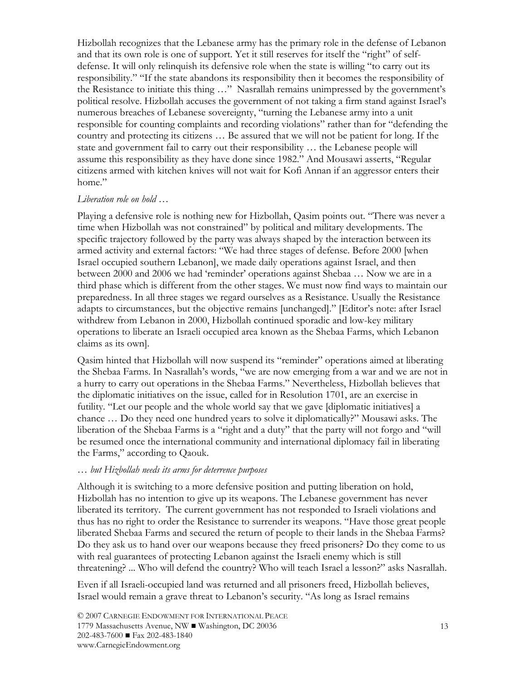Hizbollah recognizes that the Lebanese army has the primary role in the defense of Lebanon and that its own role is one of support. Yet it still reserves for itself the "right" of selfdefense. It will only relinquish its defensive role when the state is willing "to carry out its responsibility." "If the state abandons its responsibility then it becomes the responsibility of the Resistance to initiate this thing …" Nasrallah remains unimpressed by the government's political resolve. Hizbollah accuses the government of not taking a firm stand against Israel's numerous breaches of Lebanese sovereignty, "turning the Lebanese army into a unit responsible for counting complaints and recording violations" rather than for "defending the country and protecting its citizens … Be assured that we will not be patient for long. If the state and government fail to carry out their responsibility … the Lebanese people will assume this responsibility as they have done since 1982." And Mousawi asserts, "Regular citizens armed with kitchen knives will not wait for Kofi Annan if an aggressor enters their home"

#### *Liberation role on hold …*

Playing a defensive role is nothing new for Hizbollah, Qasim points out. "There was never a time when Hizbollah was not constrained" by political and military developments. The specific trajectory followed by the party was always shaped by the interaction between its armed activity and external factors: "We had three stages of defense. Before 2000 [when Israel occupied southern Lebanon], we made daily operations against Israel, and then between 2000 and 2006 we had 'reminder' operations against Shebaa … Now we are in a third phase which is different from the other stages. We must now find ways to maintain our preparedness. In all three stages we regard ourselves as a Resistance. Usually the Resistance adapts to circumstances, but the objective remains [unchanged]." [Editor's note: after Israel withdrew from Lebanon in 2000, Hizbollah continued sporadic and low-key military operations to liberate an Israeli occupied area known as the Shebaa Farms, which Lebanon claims as its own].

Qasim hinted that Hizbollah will now suspend its "reminder" operations aimed at liberating the Shebaa Farms. In Nasrallah's words, "we are now emerging from a war and we are not in a hurry to carry out operations in the Shebaa Farms." Nevertheless, Hizbollah believes that the diplomatic initiatives on the issue, called for in Resolution 1701, are an exercise in futility. "Let our people and the whole world say that we gave [diplomatic initiatives] a chance … Do they need one hundred years to solve it diplomatically?" Mousawi asks. The liberation of the Shebaa Farms is a "right and a duty" that the party will not forgo and "will be resumed once the international community and international diplomacy fail in liberating the Farms," according to Qaouk.

#### *… but Hizbollah needs its arms for deterrence purposes*

Although it is switching to a more defensive position and putting liberation on hold, Hizbollah has no intention to give up its weapons. The Lebanese government has never liberated its territory. The current government has not responded to Israeli violations and thus has no right to order the Resistance to surrender its weapons. "Have those great people liberated Shebaa Farms and secured the return of people to their lands in the Shebaa Farms? Do they ask us to hand over our weapons because they freed prisoners? Do they come to us with real guarantees of protecting Lebanon against the Israeli enemy which is still threatening? ... Who will defend the country? Who will teach Israel a lesson?" asks Nasrallah.

Even if all Israeli-occupied land was returned and all prisoners freed, Hizbollah believes, Israel would remain a grave threat to Lebanon's security. "As long as Israel remains